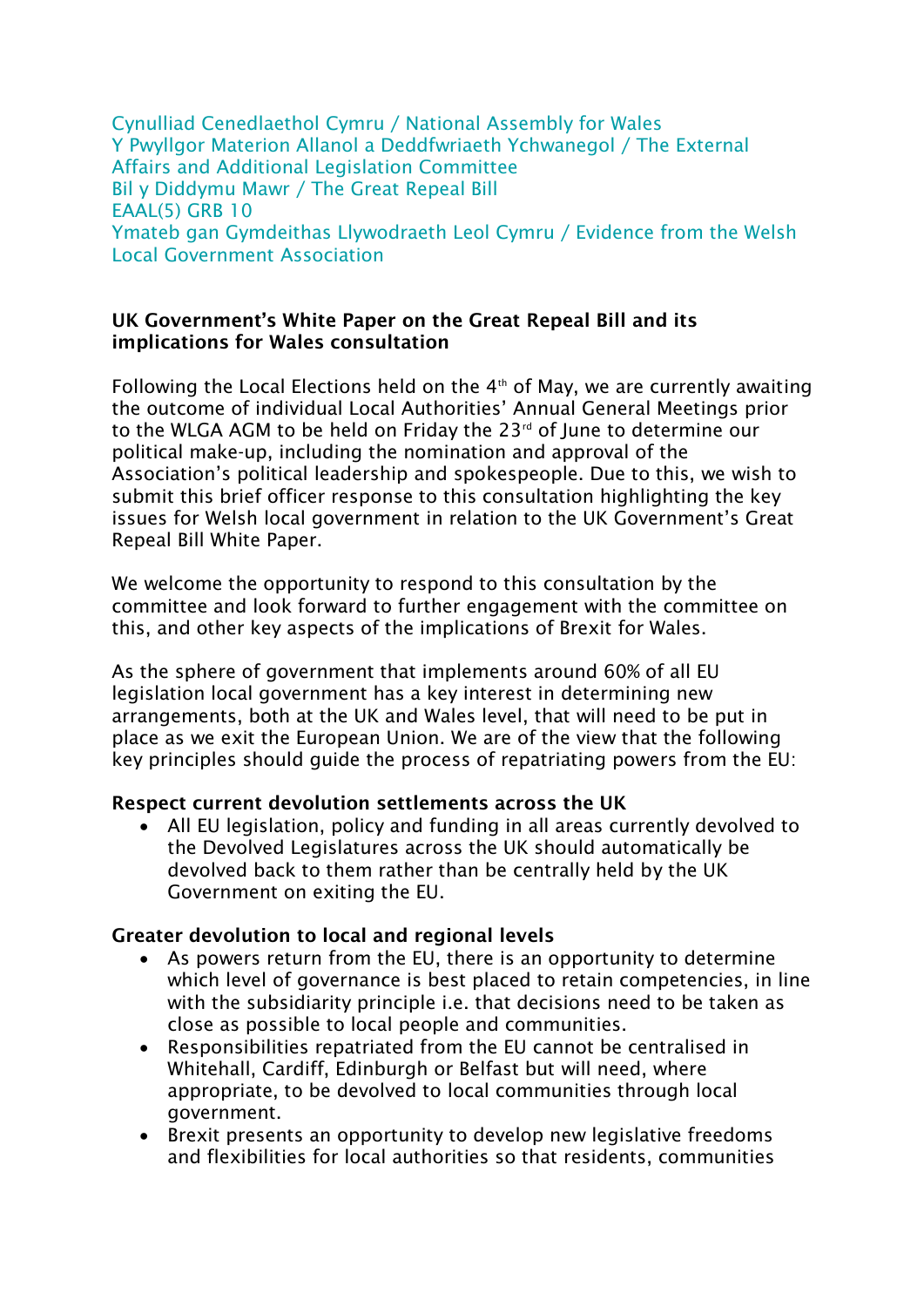Cynulliad Cenedlaethol Cymru / National Assembly for Wales Y Pwyllgor Materion Allanol a Deddfwriaeth Ychwanegol / The External Affairs and Additional Legislation Committee Bil y Diddymu Mawr / The Great Repeal Bill EAAL(5) GRB 10 Ymateb gan Gymdeithas Llywodraeth Leol Cymru / Evidence from the Welsh Local Government Association

#### **UK Government's White Paper on the Great Repeal Bill and its implications for Wales consultation**

Following the Local Elections held on the  $4<sup>th</sup>$  of May, we are currently awaiting the outcome of individual Local Authorities' Annual General Meetings prior to the WLGA AGM to be held on Friday the 23<sup>rd</sup> of June to determine our political make-up, including the nomination and approval of the Association's political leadership and spokespeople. Due to this, we wish to submit this brief officer response to this consultation highlighting the key issues for Welsh local government in relation to the UK Government's Great Repeal Bill White Paper.

We welcome the opportunity to respond to this consultation by the committee and look forward to further engagement with the committee on this, and other key aspects of the implications of Brexit for Wales.

As the sphere of government that implements around 60% of all EU legislation local government has a key interest in determining new arrangements, both at the UK and Wales level, that will need to be put in place as we exit the European Union. We are of the view that the following key principles should guide the process of repatriating powers from the EU:

### **Respect current devolution settlements across the UK**

 All EU legislation, policy and funding in all areas currently devolved to the Devolved Legislatures across the UK should automatically be devolved back to them rather than be centrally held by the UK Government on exiting the EU.

### **Greater devolution to local and regional levels**

- As powers return from the EU, there is an opportunity to determine which level of governance is best placed to retain competencies, in line with the subsidiarity principle i.e. that decisions need to be taken as close as possible to local people and communities.
- Responsibilities repatriated from the EU cannot be centralised in Whitehall, Cardiff, Edinburgh or Belfast but will need, where appropriate, to be devolved to local communities through local government.
- Brexit presents an opportunity to develop new legislative freedoms and flexibilities for local authorities so that residents, communities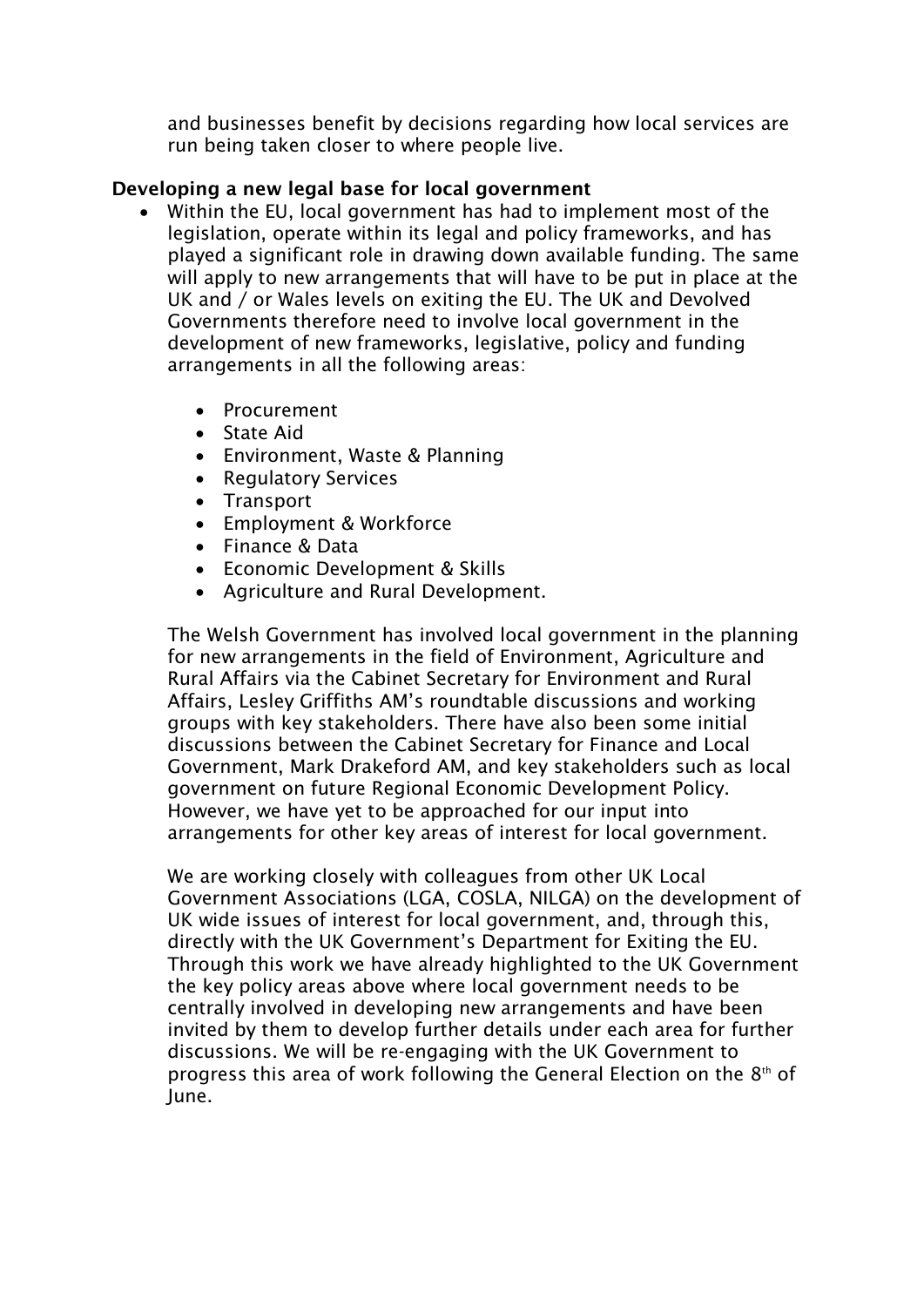and businesses benefit by decisions regarding how local services are run being taken closer to where people live.

# **Developing a new legal base for local government**

- Within the EU, local government has had to implement most of the legislation, operate within its legal and policy frameworks, and has played a significant role in drawing down available funding. The same will apply to new arrangements that will have to be put in place at the UK and / or Wales levels on exiting the EU. The UK and Devolved Governments therefore need to involve local government in the development of new frameworks, legislative, policy and funding arrangements in all the following areas:
	- Procurement
	- State Aid
	- Environment, Waste & Planning
	- Regulatory Services
	- Transport
	- Employment & Workforce
	- Finance & Data
	- Economic Development & Skills
	- Agriculture and Rural Development.

The Welsh Government has involved local government in the planning for new arrangements in the field of Environment, Agriculture and Rural Affairs via the Cabinet Secretary for Environment and Rural Affairs, Lesley Griffiths AM's roundtable discussions and working groups with key stakeholders. There have also been some initial discussions between the Cabinet Secretary for Finance and Local Government, Mark Drakeford AM, and key stakeholders such as local government on future Regional Economic Development Policy. However, we have yet to be approached for our input into arrangements for other key areas of interest for local government.

We are working closely with colleagues from other UK Local Government Associations (LGA, COSLA, NILGA) on the development of UK wide issues of interest for local government, and, through this, directly with the UK Government's Department for Exiting the EU. Through this work we have already highlighted to the UK Government the key policy areas above where local government needs to be centrally involved in developing new arrangements and have been invited by them to develop further details under each area for further discussions. We will be re-engaging with the UK Government to progress this area of work following the General Election on the  $8<sup>th</sup>$  of June.